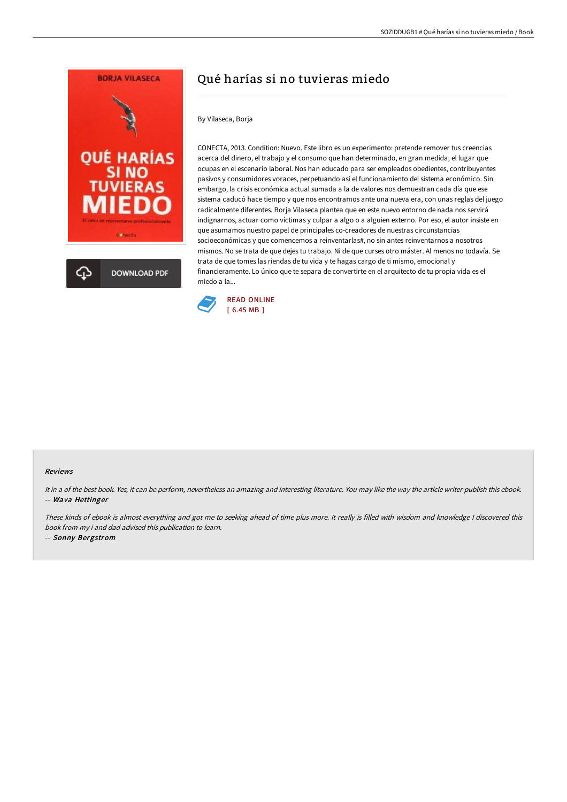

# Qué harías si no tuvieras miedo

## By Vilaseca, Borja

CONECTA, 2013. Condition: Nuevo. Este libro es un experimento: pretende remover tus creencias acerca del dinero, el trabajo y el consumo que han determinado, en gran medida, el lugar que ocupas en el escenario laboral. Nos han educado para ser empleados obedientes, contribuyentes pasivos y consumidores voraces, perpetuando así el funcionamiento del sistema económico. Sin embargo, la crisis económica actual sumada a la de valores nos demuestran cada día que ese sistema caducó hace tiempo y que nos encontramos ante una nueva era, con unas reglas del juego radicalmente diferentes. Borja Vilaseca plantea que en este nuevo entorno de nada nos servirá indignarnos, actuar como víctimas y culpar a algo o a alguien externo. Por eso, el autor insiste en que asumamos nuestro papel de principales co-creadores de nuestras circunstancias socioeconómicas y que comencemos a reinventarlas#, no sin antes reinventarnos a nosotros mismos. No se trata de que dejes tu trabajo. Ni de que curses otro máster. Al menos no todavía. Se trata de que tomes las riendas de tu vida y te hagas cargo de ti mismo, emocional y financieramente. Lo único que te separa de convertirte en el arquitecto de tu propia vida es el miedo a la...



#### Reviews

It in <sup>a</sup> of the best book. Yes, it can be perform, nevertheless an amazing and interesting literature. You may like the way the article writer publish this ebook. -- Wava Hettinger

These kinds of ebook is almost everything and got me to seeking ahead of time plus more. It really is filled with wisdom and knowledge <sup>I</sup> discovered this book from my i and dad advised this publication to learn.

-- Sonny Bergstrom